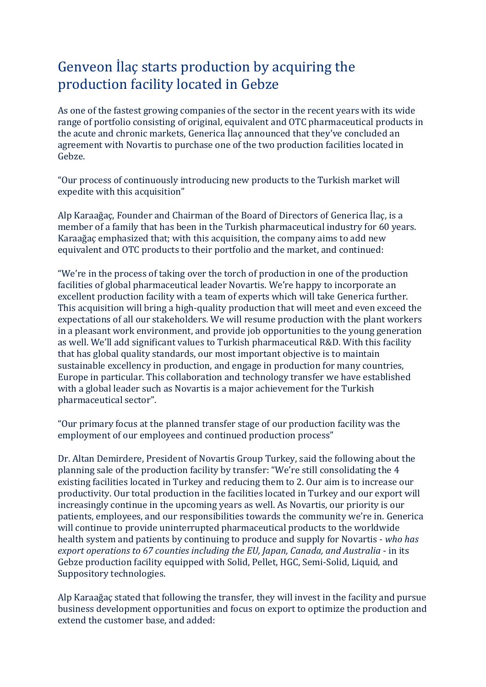## Genveon İlaç starts production by acquiring the production facility located in Gebze

As one of the fastest growing companies of the sector in the recent years with its wide range of portfolio consisting of original, equivalent and OTC pharmaceutical products in the acute and chronic markets, Generica İlaç announced that they've concluded an agreement with Novartis to purchase one of the two production facilities located in Gebze.

"Our process of continuously introducing new products to the Turkish market will expedite with this acquisition"

Alp Karaağaç, Founder and Chairman of the Board of Directors of Generica İlaç, is a member of a family that has been in the Turkish pharmaceutical industry for 60 years. Karaağaç emphasized that; with this acquisition, the company aims to add new equivalent and OTC products to their portfolio and the market, and continued:

"We're in the process of taking over the torch of production in one of the production facilities of global pharmaceutical leader Novartis. We're happy to incorporate an excellent production facility with a team of experts which will take Generica further. This acquisition will bring a high-quality production that will meet and even exceed the expectations of all our stakeholders. We will resume production with the plant workers in a pleasant work environment, and provide job opportunities to the young generation as well. We'll add significant values to Turkish pharmaceutical R&D. With this facility that has global quality standards, our most important objective is to maintain sustainable excellency in production, and engage in production for many countries, Europe in particular. This collaboration and technology transfer we have established with a global leader such as Novartis is a major achievement for the Turkish pharmaceutical sector".

"Our primary focus at the planned transfer stage of our production facility was the employment of our employees and continued production process"

Dr. Altan Demirdere, President of Novartis Group Turkey, said the following about the planning sale of the production facility by transfer: "We're still consolidating the 4 existing facilities located in Turkey and reducing them to 2. Our aim is to increase our productivity. Our total production in the facilities located in Turkey and our export will increasingly continue in the upcoming years as well. As Novartis, our priority is our patients, employees, and our responsibilities towards the community we're in. Generica will continue to provide uninterrupted pharmaceutical products to the worldwide health system and patients by continuing to produce and supply for Novartis - *who has export operations to 67 counties including the EU, Japan, Canada, and Australia* - in its Gebze production facility equipped with Solid, Pellet, HGC, Semi-Solid, Liquid, and Suppository technologies.

Alp Karaağaç stated that following the transfer, they will invest in the facility and pursue business development opportunities and focus on export to optimize the production and extend the customer base, and added: